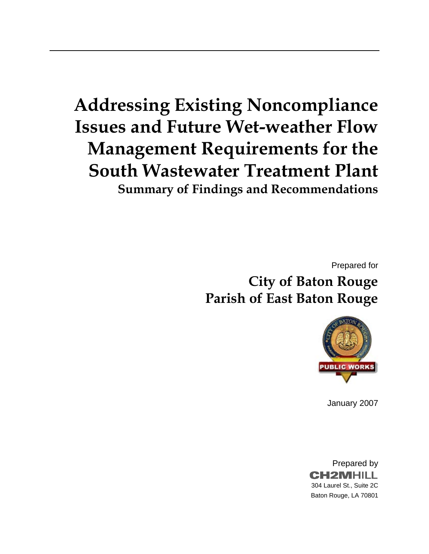# **Addressing Existing Noncompliance Issues and Future Wet-weather Flow Management Requirements for the South Wastewater Treatment Plant Summary of Findings and Recommendations**

Prepared for

**City of Baton Rouge Parish of East Baton Rouge** 



January 2007

Prepared by **CH2MHILL** 304 Laurel St., Suite 2C Baton Rouge, LA 70801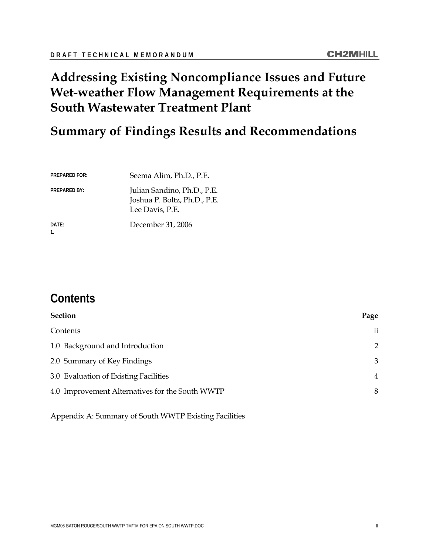# <span id="page-1-0"></span>**Addressing Existing Noncompliance Issues and Future Wet-weather Flow Management Requirements at the South Wastewater Treatment Plant**

# **Summary of Findings Results and Recommendations**

| <b>PREPARED FOR:</b> | Seema Alim, Ph.D., P.E.                                                        |  |
|----------------------|--------------------------------------------------------------------------------|--|
| <b>PREPARED BY:</b>  | Julian Sandino, Ph.D., P.E.<br>Joshua P. Boltz, Ph.D., P.E.<br>Lee Davis, P.E. |  |
| DATE:                | December 31, 2006                                                              |  |

# **Contents**

| <b>Section</b>                                  | Page                |
|-------------------------------------------------|---------------------|
| Contents                                        | $\ddot{\mathbf{i}}$ |
| 1.0 Background and Introduction                 | $\mathcal{P}$       |
| 2.0 Summary of Key Findings                     | 3                   |
| 3.0 Evaluation of Existing Facilities           | 4                   |
| 4.0 Improvement Alternatives for the South WWTP | 8                   |

Appendix A: Summary of South WWTP Existing Facilities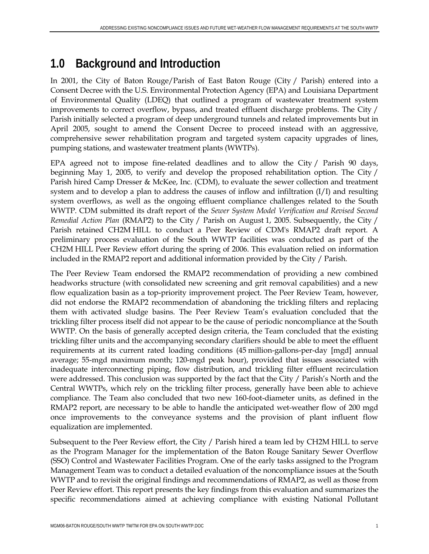# **1.0 Background and Introduction**

In 2001, the City of Baton Rouge/Parish of East Baton Rouge (City / Parish) entered into a Consent Decree with the U.S. Environmental Protection Agency (EPA) and Louisiana Department of Environmental Quality (LDEQ) that outlined a program of wastewater treatment system improvements to correct overflow, bypass, and treated effluent discharge problems. The City / Parish initially selected a program of deep underground tunnels and related improvements but in April 2005, sought to amend the Consent Decree to proceed instead with an aggressive, comprehensive sewer rehabilitation program and targeted system capacity upgrades of lines, pumping stations, and wastewater treatment plants (WWTPs).

EPA agreed not to impose fine-related deadlines and to allow the City / Parish 90 days, beginning May 1, 2005, to verify and develop the proposed rehabilitation option. The City / Parish hired Camp Dresser & McKee, Inc. (CDM), to evaluate the sewer collection and treatment system and to develop a plan to address the causes of inflow and infiltration (I/I) and resulting system overflows, as well as the ongoing effluent compliance challenges related to the South WWTP. CDM submitted its draft report of the *Sewer System Model Verification and Revised Second Remedial Action Plan* (RMAP2) to the City / Parish on August 1, 2005. Subsequently, the City / Parish retained CH2M HILL to conduct a Peer Review of CDM's RMAP2 draft report. A preliminary process evaluation of the South WWTP facilities was conducted as part of the CH2M HILL Peer Review effort during the spring of 2006. This evaluation relied on information included in the RMAP2 report and additional information provided by the City / Parish.

The Peer Review Team endorsed the RMAP2 recommendation of providing a new combined headworks structure (with consolidated new screening and grit removal capabilities) and a new flow equalization basin as a top-priority improvement project. The Peer Review Team, however, did not endorse the RMAP2 recommendation of abandoning the trickling filters and replacing them with activated sludge basins. The Peer Review Team's evaluation concluded that the trickling filter process itself did not appear to be the cause of periodic noncompliance at the South WWTP. On the basis of generally accepted design criteria, the Team concluded that the existing trickling filter units and the accompanying secondary clarifiers should be able to meet the effluent requirements at its current rated loading conditions (45 million-gallons-per-day [mgd] annual average; 55-mgd maximum month; 120-mgd peak hour), provided that issues associated with inadequate interconnecting piping, flow distribution, and trickling filter effluent recirculation were addressed. This conclusion was supported by the fact that the City / Parish's North and the Central WWTPs, which rely on the trickling filter process, generally have been able to achieve compliance. The Team also concluded that two new 160-foot-diameter units, as defined in the RMAP2 report, are necessary to be able to handle the anticipated wet-weather flow of 200 mgd once improvements to the conveyance systems and the provision of plant influent flow equalization are implemented.

Subsequent to the Peer Review effort, the City / Parish hired a team led by CH2M HILL to serve as the Program Manager for the implementation of the Baton Rouge Sanitary Sewer Overflow (SSO) Control and Wastewater Facilities Program. One of the early tasks assigned to the Program Management Team was to conduct a detailed evaluation of the noncompliance issues at the South WWTP and to revisit the original findings and recommendations of RMAP2, as well as those from Peer Review effort. This report presents the key findings from this evaluation and summarizes the specific recommendations aimed at achieving compliance with existing National Pollutant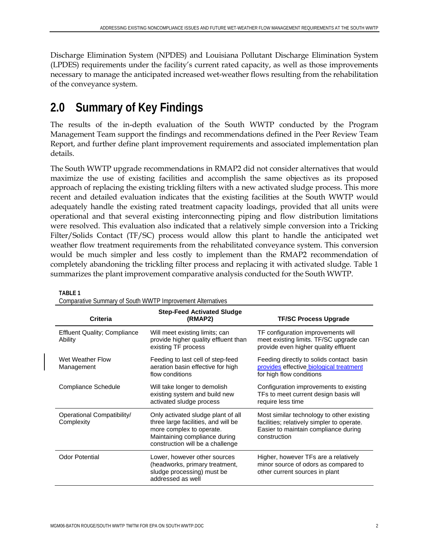Discharge Elimination System (NPDES) and Louisiana Pollutant Discharge Elimination System (LPDES) requirements under the facility's current rated capacity, as well as those improvements necessary to manage the anticipated increased wet-weather flows resulting from the rehabilitation of the conveyance system.

# **2.0 Summary of Key Findings**

The results of the in-depth evaluation of the South WWTP conducted by the Program Management Team support the findings and recommendations defined in the Peer Review Team Report, and further define plant improvement requirements and associated implementation plan details.

The South WWTP upgrade recommendations in RMAP2 did not consider alternatives that would maximize the use of existing facilities and accomplish the same objectives as its proposed approach of replacing the existing trickling filters with a new activated sludge process. This more recent and detailed evaluation indicates that the existing facilities at the South WWTP would adequately handle the existing rated treatment capacity loadings, provided that all units were operational and that several existing interconnecting piping and flow distribution limitations were resolved. This evaluation also indicated that a relatively simple conversion into a Tricking Filter/Solids Contact (TF/SC) process would allow this plant to handle the anticipated wet weather flow treatment requirements from the rehabilitated conveyance system. This conversion would be much simpler and less costly to implement than the RMAP2 recommendation of completely abandoning the trickling filter process and replacing it with activated sludge. Table 1 summarizes the plant improvement comparative analysis conducted for the South WWTP.

| Comparative Summary of South WWTP Improvement Alternatives |                                                                                                                                                                            |                                                                                                                                                 |  |  |
|------------------------------------------------------------|----------------------------------------------------------------------------------------------------------------------------------------------------------------------------|-------------------------------------------------------------------------------------------------------------------------------------------------|--|--|
| <b>Criteria</b>                                            | <b>Step-Feed Activated Sludge</b><br>(RMAP2)                                                                                                                               | <b>TF/SC Process Upgrade</b>                                                                                                                    |  |  |
| <b>Effluent Quality; Compliance</b><br>Ability             | Will meet existing limits; can<br>provide higher quality effluent than<br>existing TF process                                                                              | TF configuration improvements will<br>meet existing limits. TF/SC upgrade can<br>provide even higher quality effluent                           |  |  |
| Wet Weather Flow<br>Management                             | Feeding to last cell of step-feed<br>aeration basin effective for high<br>flow conditions                                                                                  | Feeding directly to solids contact basin<br>provides effective biological treatment<br>for high flow conditions                                 |  |  |
| Compliance Schedule                                        | Will take longer to demolish<br>existing system and build new<br>activated sludge process                                                                                  | Configuration improvements to existing<br>TFs to meet current design basis will<br>require less time                                            |  |  |
| Operational Compatibility/<br>Complexity                   | Only activated sludge plant of all<br>three large facilities, and will be<br>more complex to operate.<br>Maintaining compliance during<br>construction will be a challenge | Most similar technology to other existing<br>facilities; relatively simpler to operate.<br>Easier to maintain compliance during<br>construction |  |  |
| <b>Odor Potential</b>                                      | Lower, however other sources<br>(headworks, primary treatment,<br>sludge processing) must be<br>addressed as well                                                          | Higher, however TFs are a relatively<br>minor source of odors as compared to<br>other current sources in plant                                  |  |  |

**TABLE 1**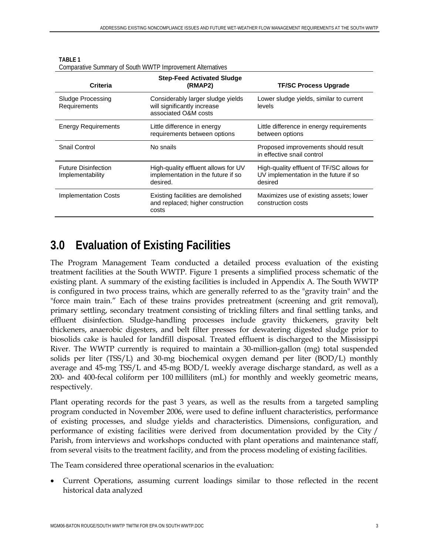| Criteria                                       | <b>Step-Feed Activated Sludge</b><br>(RMAP2)                                             | <b>TF/SC Process Upgrade</b>                                                                  |  |  |
|------------------------------------------------|------------------------------------------------------------------------------------------|-----------------------------------------------------------------------------------------------|--|--|
| Sludge Processing<br>Requirements              | Considerably larger sludge yields<br>will significantly increase<br>associated O&M costs | Lower sludge yields, similar to current<br>levels                                             |  |  |
| <b>Energy Requirements</b>                     | Little difference in energy<br>requirements between options                              | Little difference in energy requirements<br>between options                                   |  |  |
| Snail Control                                  | No snails                                                                                | Proposed improvements should result<br>in effective snail control                             |  |  |
| <b>Future Disinfection</b><br>Implementability | High-quality effluent allows for UV<br>implementation in the future if so<br>desired.    | High-quality effluent of TF/SC allows for<br>UV implementation in the future if so<br>desired |  |  |
| <b>Implementation Costs</b>                    | Existing facilities are demolished<br>and replaced; higher construction<br>costs         | Maximizes use of existing assets; lower<br>construction costs                                 |  |  |

| TABLE 1                                                    |
|------------------------------------------------------------|
| Comparative Summary of South WWTP Improvement Alternatives |

# **3.0 Evaluation of Existing Facilities**

The Program Management Team conducted a detailed process evaluation of the existing treatment facilities at the South WWTP. Figure 1 presents a simplified process schematic of the existing plant. A summary of the existing facilities is included in Appendix A. The South WWTP is configured in two process trains, which are generally referred to as the "gravity train" and the "force main train." Each of these trains provides pretreatment (screening and grit removal), primary settling, secondary treatment consisting of trickling filters and final settling tanks, and effluent disinfection. Sludge-handling processes include gravity thickeners, gravity belt thickeners, anaerobic digesters, and belt filter presses for dewatering digested sludge prior to biosolids cake is hauled for landfill disposal. Treated effluent is discharged to the Mississippi River. The WWTP currently is required to maintain a 30-million-gallon (mg) total suspended solids per liter (TSS/L) and 30-mg biochemical oxygen demand per liter (BOD/L) monthly average and 45-mg TSS/L and 45-mg BOD/L weekly average discharge standard, as well as a 200- and 400-fecal coliform per 100 milliliters (mL) for monthly and weekly geometric means, respectively.

Plant operating records for the past 3 years, as well as the results from a targeted sampling program conducted in November 2006, were used to define influent characteristics, performance of existing processes, and sludge yields and characteristics. Dimensions, configuration, and performance of existing facilities were derived from documentation provided by the City / Parish, from interviews and workshops conducted with plant operations and maintenance staff, from several visits to the treatment facility, and from the process modeling of existing facilities.

The Team considered three operational scenarios in the evaluation:

• Current Operations, assuming current loadings similar to those reflected in the recent historical data analyzed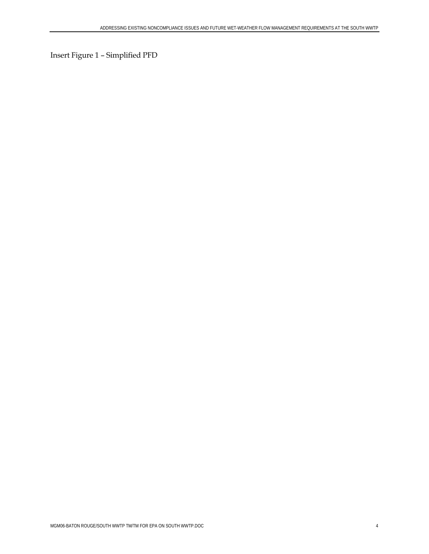Insert Figure 1 – Simplified PFD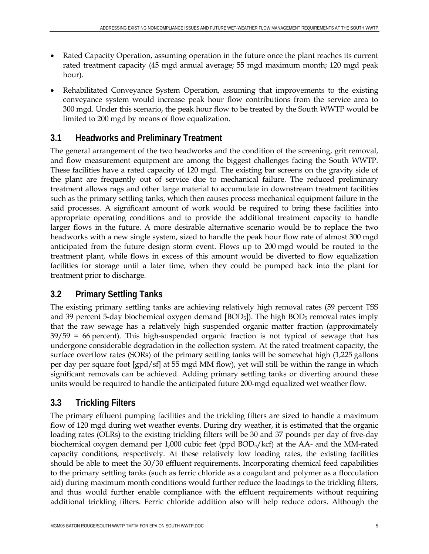- Rated Capacity Operation, assuming operation in the future once the plant reaches its current rated treatment capacity (45 mgd annual average; 55 mgd maximum month; 120 mgd peak hour).
- Rehabilitated Conveyance System Operation, assuming that improvements to the existing conveyance system would increase peak hour flow contributions from the service area to 300 mgd. Under this scenario, the peak hour flow to be treated by the South WWTP would be limited to 200 mgd by means of flow equalization.

# **3.1 Headworks and Preliminary Treatment**

The general arrangement of the two headworks and the condition of the screening, grit removal, and flow measurement equipment are among the biggest challenges facing the South WWTP. These facilities have a rated capacity of 120 mgd. The existing bar screens on the gravity side of the plant are frequently out of service due to mechanical failure. The reduced preliminary treatment allows rags and other large material to accumulate in downstream treatment facilities such as the primary settling tanks, which then causes process mechanical equipment failure in the said processes. A significant amount of work would be required to bring these facilities into appropriate operating conditions and to provide the additional treatment capacity to handle larger flows in the future. A more desirable alternative scenario would be to replace the two headworks with a new single system, sized to handle the peak hour flow rate of almost 300 mgd anticipated from the future design storm event. Flows up to 200 mgd would be routed to the treatment plant, while flows in excess of this amount would be diverted to flow equalization facilities for storage until a later time, when they could be pumped back into the plant for treatment prior to discharge.

# **3.2 Primary Settling Tanks**

The existing primary settling tanks are achieving relatively high removal rates (59 percent TSS and 39 percent 5-day biochemical oxygen demand [BOD<sub>5</sub>]). The high BOD<sub>5</sub> removal rates imply that the raw sewage has a relatively high suspended organic matter fraction (approximately 39/59 = 66 percent). This high-suspended organic fraction is not typical of sewage that has undergone considerable degradation in the collection system. At the rated treatment capacity, the surface overflow rates (SORs) of the primary settling tanks will be somewhat high (1,225 gallons per day per square foot [gpd/sf] at 55 mgd MM flow), yet will still be within the range in which significant removals can be achieved. Adding primary settling tanks or diverting around these units would be required to handle the anticipated future 200-mgd equalized wet weather flow.

# **3.3 Trickling Filters**

The primary effluent pumping facilities and the trickling filters are sized to handle a maximum flow of 120 mgd during wet weather events. During dry weather, it is estimated that the organic loading rates (OLRs) to the existing trickling filters will be 30 and 37 pounds per day of five-day biochemical oxygen demand per 1,000 cubic feet (ppd BOD5/kcf) at the AA- and the MM-rated capacity conditions, respectively. At these relatively low loading rates, the existing facilities should be able to meet the 30/30 effluent requirements. Incorporating chemical feed capabilities to the primary settling tanks (such as ferric chloride as a coagulant and polymer as a flocculation aid) during maximum month conditions would further reduce the loadings to the trickling filters, and thus would further enable compliance with the effluent requirements without requiring additional trickling filters. Ferric chloride addition also will help reduce odors. Although the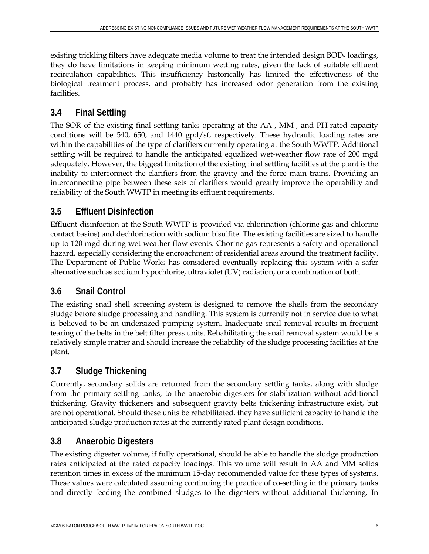existing trickling filters have adequate media volume to treat the intended design BOD<sub>5</sub> loadings, they do have limitations in keeping minimum wetting rates, given the lack of suitable effluent recirculation capabilities. This insufficiency historically has limited the effectiveness of the biological treatment process, and probably has increased odor generation from the existing facilities.

### **3.4 Final Settling**

The SOR of the existing final settling tanks operating at the AA-, MM-, and PH-rated capacity conditions will be 540, 650, and 1440 gpd/sf, respectively. These hydraulic loading rates are within the capabilities of the type of clarifiers currently operating at the South WWTP. Additional settling will be required to handle the anticipated equalized wet-weather flow rate of 200 mgd adequately. However, the biggest limitation of the existing final settling facilities at the plant is the inability to interconnect the clarifiers from the gravity and the force main trains. Providing an interconnecting pipe between these sets of clarifiers would greatly improve the operability and reliability of the South WWTP in meeting its effluent requirements.

# **3.5 Effluent Disinfection**

Effluent disinfection at the South WWTP is provided via chlorination (chlorine gas and chlorine contact basins) and dechlorination with sodium bisulfite. The existing facilities are sized to handle up to 120 mgd during wet weather flow events. Chorine gas represents a safety and operational hazard, especially considering the encroachment of residential areas around the treatment facility. The Department of Public Works has considered eventually replacing this system with a safer alternative such as sodium hypochlorite, ultraviolet (UV) radiation, or a combination of both.

# **3.6 Snail Control**

The existing snail shell screening system is designed to remove the shells from the secondary sludge before sludge processing and handling. This system is currently not in service due to what is believed to be an undersized pumping system. Inadequate snail removal results in frequent tearing of the belts in the belt filter press units. Rehabilitating the snail removal system would be a relatively simple matter and should increase the reliability of the sludge processing facilities at the plant.

# **3.7 Sludge Thickening**

Currently, secondary solids are returned from the secondary settling tanks, along with sludge from the primary settling tanks, to the anaerobic digesters for stabilization without additional thickening. Gravity thickeners and subsequent gravity belts thickening infrastructure exist, but are not operational. Should these units be rehabilitated, they have sufficient capacity to handle the anticipated sludge production rates at the currently rated plant design conditions.

### **3.8 Anaerobic Digesters**

The existing digester volume, if fully operational, should be able to handle the sludge production rates anticipated at the rated capacity loadings. This volume will result in AA and MM solids retention times in excess of the minimum 15-day recommended value for these types of systems. These values were calculated assuming continuing the practice of co-settling in the primary tanks and directly feeding the combined sludges to the digesters without additional thickening. In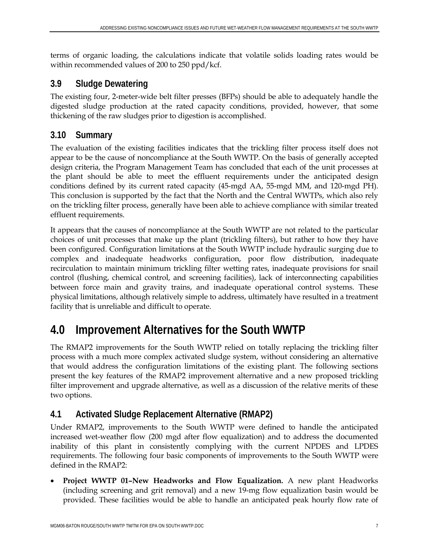terms of organic loading, the calculations indicate that volatile solids loading rates would be within recommended values of 200 to 250 ppd/kcf.

### **3.9 Sludge Dewatering**

The existing four, 2-meter-wide belt filter presses (BFPs) should be able to adequately handle the digested sludge production at the rated capacity conditions, provided, however, that some thickening of the raw sludges prior to digestion is accomplished.

### **3.10 Summary**

The evaluation of the existing facilities indicates that the trickling filter process itself does not appear to be the cause of noncompliance at the South WWTP. On the basis of generally accepted design criteria, the Program Management Team has concluded that each of the unit processes at the plant should be able to meet the effluent requirements under the anticipated design conditions defined by its current rated capacity (45-mgd AA, 55-mgd MM, and 120-mgd PH). This conclusion is supported by the fact that the North and the Central WWTPs, which also rely on the trickling filter process, generally have been able to achieve compliance with similar treated effluent requirements.

It appears that the causes of noncompliance at the South WWTP are not related to the particular choices of unit processes that make up the plant (trickling filters), but rather to how they have been configured. Configuration limitations at the South WWTP include hydraulic surging due to complex and inadequate headworks configuration, poor flow distribution, inadequate recirculation to maintain minimum trickling filter wetting rates, inadequate provisions for snail control (flushing, chemical control, and screening facilities), lack of interconnecting capabilities between force main and gravity trains, and inadequate operational control systems. These physical limitations, although relatively simple to address, ultimately have resulted in a treatment facility that is unreliable and difficult to operate.

# **4.0 Improvement Alternatives for the South WWTP**

The RMAP2 improvements for the South WWTP relied on totally replacing the trickling filter process with a much more complex activated sludge system, without considering an alternative that would address the configuration limitations of the existing plant. The following sections present the key features of the RMAP2 improvement alternative and a new proposed trickling filter improvement and upgrade alternative, as well as a discussion of the relative merits of these two options.

### **4.1 Activated Sludge Replacement Alternative (RMAP2)**

Under RMAP2, improvements to the South WWTP were defined to handle the anticipated increased wet-weather flow (200 mgd after flow equalization) and to address the documented inability of this plant in consistently complying with the current NPDES and LPDES requirements. The following four basic components of improvements to the South WWTP were defined in the RMAP2:

• **Project WWTP 01–New Headworks and Flow Equalization.** A new plant Headworks (including screening and grit removal) and a new 19-mg flow equalization basin would be provided. These facilities would be able to handle an anticipated peak hourly flow rate of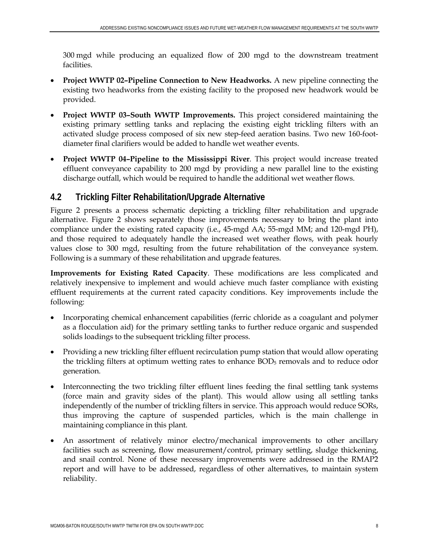300 mgd while producing an equalized flow of 200 mgd to the downstream treatment facilities.

- **Project WWTP 02–Pipeline Connection to New Headworks.** A new pipeline connecting the existing two headworks from the existing facility to the proposed new headwork would be provided.
- **Project WWTP 03–South WWTP Improvements.** This project considered maintaining the existing primary settling tanks and replacing the existing eight trickling filters with an activated sludge process composed of six new step-feed aeration basins. Two new 160-footdiameter final clarifiers would be added to handle wet weather events.
- **Project WWTP 04–Pipeline to the Mississippi River**. This project would increase treated effluent conveyance capability to 200 mgd by providing a new parallel line to the existing discharge outfall, which would be required to handle the additional wet weather flows.

### **4.2 Trickling Filter Rehabilitation/Upgrade Alternative**

Figure 2 presents a process schematic depicting a trickling filter rehabilitation and upgrade alternative. Figure 2 shows separately those improvements necessary to bring the plant into compliance under the existing rated capacity (i.e., 45-mgd AA; 55-mgd MM; and 120-mgd PH), and those required to adequately handle the increased wet weather flows, with peak hourly values close to 300 mgd, resulting from the future rehabilitation of the conveyance system. Following is a summary of these rehabilitation and upgrade features.

**Improvements for Existing Rated Capacity**. These modifications are less complicated and relatively inexpensive to implement and would achieve much faster compliance with existing effluent requirements at the current rated capacity conditions. Key improvements include the following:

- Incorporating chemical enhancement capabilities (ferric chloride as a coagulant and polymer as a flocculation aid) for the primary settling tanks to further reduce organic and suspended solids loadings to the subsequent trickling filter process.
- Providing a new trickling filter effluent recirculation pump station that would allow operating the trickling filters at optimum wetting rates to enhance BOD<sub>5</sub> removals and to reduce odor generation.
- Interconnecting the two trickling filter effluent lines feeding the final settling tank systems (force main and gravity sides of the plant). This would allow using all settling tanks independently of the number of trickling filters in service. This approach would reduce SORs, thus improving the capture of suspended particles, which is the main challenge in maintaining compliance in this plant.
- An assortment of relatively minor electro/mechanical improvements to other ancillary facilities such as screening, flow measurement/control, primary settling, sludge thickening, and snail control. None of these necessary improvements were addressed in the RMAP2 report and will have to be addressed, regardless of other alternatives, to maintain system reliability.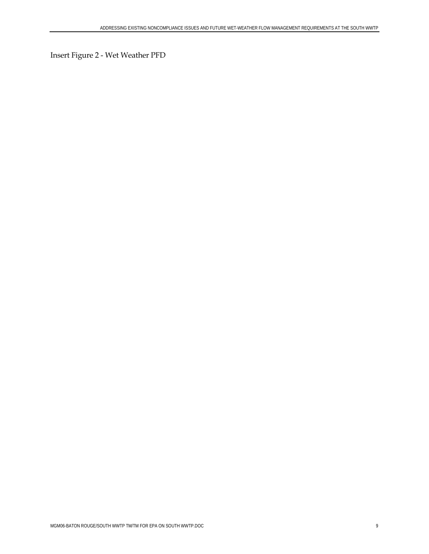Insert Figure 2 - Wet Weather PFD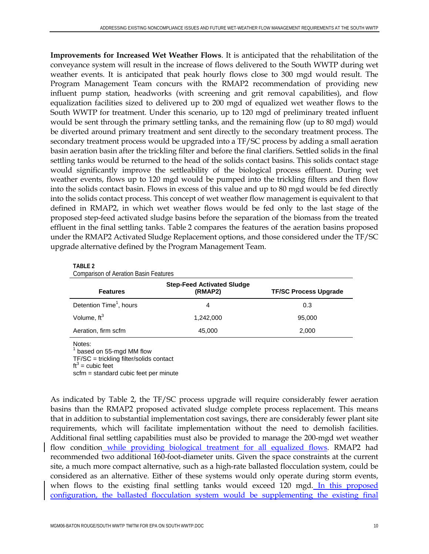**Improvements for Increased Wet Weather Flows**. It is anticipated that the rehabilitation of the conveyance system will result in the increase of flows delivered to the South WWTP during wet weather events. It is anticipated that peak hourly flows close to 300 mgd would result. The Program Management Team concurs with the RMAP2 recommendation of providing new influent pump station, headworks (with screening and grit removal capabilities), and flow equalization facilities sized to delivered up to 200 mgd of equalized wet weather flows to the South WWTP for treatment. Under this scenario, up to 120 mgd of preliminary treated influent would be sent through the primary settling tanks, and the remaining flow (up to 80 mgd) would be diverted around primary treatment and sent directly to the secondary treatment process. The secondary treatment process would be upgraded into a TF/SC process by adding a small aeration basin aeration basin after the trickling filter and before the final clarifiers. Settled solids in the final settling tanks would be returned to the head of the solids contact basins. This solids contact stage would significantly improve the settleability of the biological process effluent. During wet weather events, flows up to 120 mgd would be pumped into the trickling filters and then flow into the solids contact basin. Flows in excess of this value and up to 80 mgd would be fed directly into the solids contact process. This concept of wet weather flow management is equivalent to that defined in RMAP2, in which wet weather flows would be fed only to the last stage of the proposed step-feed activated sludge basins before the separation of the biomass from the treated effluent in the final settling tanks. Table 2 compares the features of the aeration basins proposed under the RMAP2 Activated Sludge Replacement options, and those considered under the TF/SC upgrade alternative defined by the Program Management Team.

#### **TABLE 2**

Comparison of Aeration Basin Features

| <b>Step-Feed Activated Sludge</b>   |           |                              |  |  |
|-------------------------------------|-----------|------------------------------|--|--|
| <b>Features</b>                     | (RMAP2)   | <b>TF/SC Process Upgrade</b> |  |  |
| Detention Time <sup>1</sup> , hours | 4         | 0.3                          |  |  |
| Volume, $ft^3$                      | 1.242.000 | 95,000                       |  |  |
| Aeration, firm scfm                 | 45,000    | 2,000                        |  |  |

Notes:

 $<sup>1</sup>$  based on 55-mgd MM flow</sup>

TF/SC = trickling filter/solids contact

 $\text{ft}^3$  = cubic feet

scfm = standard cubic feet per minute

As indicated by Table 2, the TF/SC process upgrade will require considerably fewer aeration basins than the RMAP2 proposed activated sludge complete process replacement. This means that in addition to substantial implementation cost savings, there are considerably fewer plant site requirements, which will facilitate implementation without the need to demolish facilities. Additional final settling capabilities must also be provided to manage the 200-mgd wet weather flow condition while providing biological treatment for all equalized flows. RMAP2 had recommended two additional 160-foot-diameter units. Given the space constraints at the current site, a much more compact alternative, such as a high-rate ballasted flocculation system, could be considered as an alternative. Either of these systems would only operate during storm events, when flows to the existing final settling tanks would exceed 120 mgd. In this proposed configuration, the ballasted flocculation system would be supplementing the existing final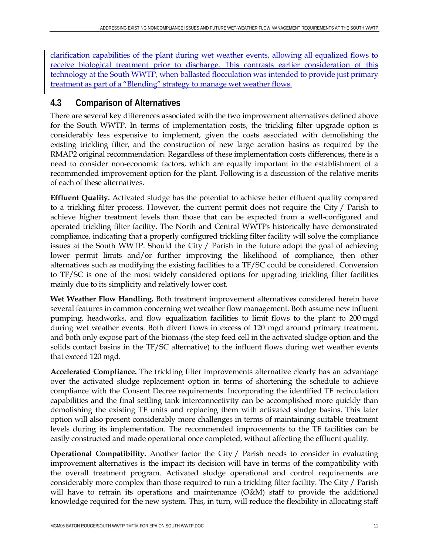clarification capabilities of the plant during wet weather events, allowing all equalized flows to receive biological treatment prior to discharge. This contrasts earlier consideration of this technology at the South WWTP, when ballasted flocculation was intended to provide just primary treatment as part of a "Blending" strategy to manage wet weather flows.

#### **4.3 Comparison of Alternatives**

There are several key differences associated with the two improvement alternatives defined above for the South WWTP. In terms of implementation costs, the trickling filter upgrade option is considerably less expensive to implement, given the costs associated with demolishing the existing trickling filter, and the construction of new large aeration basins as required by the RMAP2 original recommendation. Regardless of these implementation costs differences, there is a need to consider non-economic factors, which are equally important in the establishment of a recommended improvement option for the plant. Following is a discussion of the relative merits of each of these alternatives.

**Effluent Quality.** Activated sludge has the potential to achieve better effluent quality compared to a trickling filter process. However, the current permit does not require the City / Parish to achieve higher treatment levels than those that can be expected from a well-configured and operated trickling filter facility. The North and Central WWTPs historically have demonstrated compliance, indicating that a properly configured trickling filter facility will solve the compliance issues at the South WWTP. Should the City / Parish in the future adopt the goal of achieving lower permit limits and/or further improving the likelihood of compliance, then other alternatives such as modifying the existing facilities to a TF/SC could be considered. Conversion to TF/SC is one of the most widely considered options for upgrading trickling filter facilities mainly due to its simplicity and relatively lower cost.

**Wet Weather Flow Handling.** Both treatment improvement alternatives considered herein have several features in common concerning wet weather flow management. Both assume new influent pumping, headworks, and flow equalization facilities to limit flows to the plant to 200 mgd during wet weather events. Both divert flows in excess of 120 mgd around primary treatment, and both only expose part of the biomass (the step feed cell in the activated sludge option and the solids contact basins in the TF/SC alternative) to the influent flows during wet weather events that exceed 120 mgd.

**Accelerated Compliance.** The trickling filter improvements alternative clearly has an advantage over the activated sludge replacement option in terms of shortening the schedule to achieve compliance with the Consent Decree requirements. Incorporating the identified TF recirculation capabilities and the final settling tank interconnectivity can be accomplished more quickly than demolishing the existing TF units and replacing them with activated sludge basins. This later option will also present considerably more challenges in terms of maintaining suitable treatment levels during its implementation. The recommended improvements to the TF facilities can be easily constructed and made operational once completed, without affecting the effluent quality.

**Operational Compatibility.** Another factor the City / Parish needs to consider in evaluating improvement alternatives is the impact its decision will have in terms of the compatibility with the overall treatment program. Activated sludge operational and control requirements are considerably more complex than those required to run a trickling filter facility. The City / Parish will have to retrain its operations and maintenance (O&M) staff to provide the additional knowledge required for the new system. This, in turn, will reduce the flexibility in allocating staff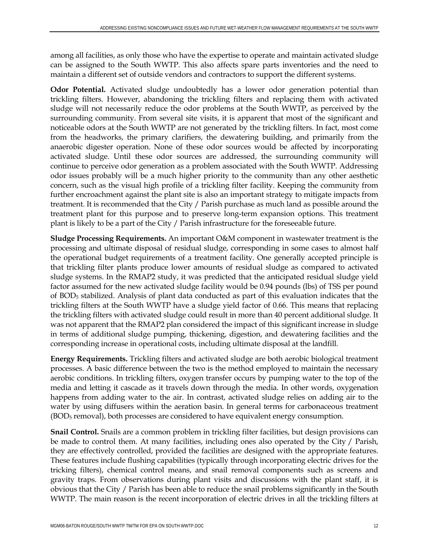among all facilities, as only those who have the expertise to operate and maintain activated sludge can be assigned to the South WWTP. This also affects spare parts inventories and the need to maintain a different set of outside vendors and contractors to support the different systems.

**Odor Potential.** Activated sludge undoubtedly has a lower odor generation potential than trickling filters. However, abandoning the trickling filters and replacing them with activated sludge will not necessarily reduce the odor problems at the South WWTP, as perceived by the surrounding community. From several site visits, it is apparent that most of the significant and noticeable odors at the South WWTP are not generated by the trickling filters. In fact, most come from the headworks, the primary clarifiers, the dewatering building, and primarily from the anaerobic digester operation. None of these odor sources would be affected by incorporating activated sludge. Until these odor sources are addressed, the surrounding community will continue to perceive odor generation as a problem associated with the South WWTP. Addressing odor issues probably will be a much higher priority to the community than any other aesthetic concern, such as the visual high profile of a trickling filter facility. Keeping the community from further encroachment against the plant site is also an important strategy to mitigate impacts from treatment. It is recommended that the City / Parish purchase as much land as possible around the treatment plant for this purpose and to preserve long-term expansion options. This treatment plant is likely to be a part of the City / Parish infrastructure for the foreseeable future.

**Sludge Processing Requirements.** An important O&M component in wastewater treatment is the processing and ultimate disposal of residual sludge, corresponding in some cases to almost half the operational budget requirements of a treatment facility. One generally accepted principle is that trickling filter plants produce lower amounts of residual sludge as compared to activated sludge systems. In the RMAP2 study, it was predicted that the anticipated residual sludge yield factor assumed for the new activated sludge facility would be 0.94 pounds (lbs) of TSS per pound of BOD5 stabilized. Analysis of plant data conducted as part of this evaluation indicates that the trickling filters at the South WWTP have a sludge yield factor of 0.66. This means that replacing the trickling filters with activated sludge could result in more than 40 percent additional sludge. It was not apparent that the RMAP2 plan considered the impact of this significant increase in sludge in terms of additional sludge pumping, thickening, digestion, and dewatering facilities and the corresponding increase in operational costs, including ultimate disposal at the landfill.

**Energy Requirements.** Trickling filters and activated sludge are both aerobic biological treatment processes. A basic difference between the two is the method employed to maintain the necessary aerobic conditions. In trickling filters, oxygen transfer occurs by pumping water to the top of the media and letting it cascade as it travels down through the media. In other words, oxygenation happens from adding water to the air. In contrast, activated sludge relies on adding air to the water by using diffusers within the aeration basin. In general terms for carbonaceous treatment (BOD5 removal), both processes are considered to have equivalent energy consumption.

**Snail Control.** Snails are a common problem in trickling filter facilities, but design provisions can be made to control them. At many facilities, including ones also operated by the City / Parish, they are effectively controlled, provided the facilities are designed with the appropriate features. These features include flushing capabilities (typically through incorporating electric drives for the tricking filters), chemical control means, and snail removal components such as screens and gravity traps. From observations during plant visits and discussions with the plant staff, it is obvious that the City / Parish has been able to reduce the snail problems significantly in the South WWTP. The main reason is the recent incorporation of electric drives in all the trickling filters at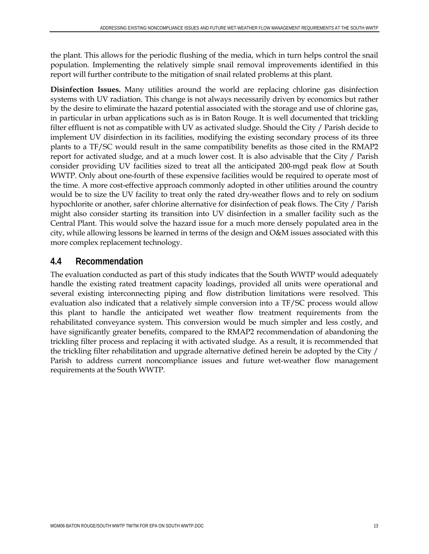the plant. This allows for the periodic flushing of the media, which in turn helps control the snail population. Implementing the relatively simple snail removal improvements identified in this report will further contribute to the mitigation of snail related problems at this plant.

**Disinfection Issues.** Many utilities around the world are replacing chlorine gas disinfection systems with UV radiation. This change is not always necessarily driven by economics but rather by the desire to eliminate the hazard potential associated with the storage and use of chlorine gas, in particular in urban applications such as is in Baton Rouge. It is well documented that trickling filter effluent is not as compatible with UV as activated sludge. Should the City / Parish decide to implement UV disinfection in its facilities, modifying the existing secondary process of its three plants to a TF/SC would result in the same compatibility benefits as those cited in the RMAP2 report for activated sludge, and at a much lower cost. It is also advisable that the City / Parish consider providing UV facilities sized to treat all the anticipated 200-mgd peak flow at South WWTP. Only about one-fourth of these expensive facilities would be required to operate most of the time. A more cost-effective approach commonly adopted in other utilities around the country would be to size the UV facility to treat only the rated dry-weather flows and to rely on sodium hypochlorite or another, safer chlorine alternative for disinfection of peak flows. The City / Parish might also consider starting its transition into UV disinfection in a smaller facility such as the Central Plant. This would solve the hazard issue for a much more densely populated area in the city, while allowing lessons be learned in terms of the design and O&M issues associated with this more complex replacement technology.

#### **4.4 Recommendation**

The evaluation conducted as part of this study indicates that the South WWTP would adequately handle the existing rated treatment capacity loadings, provided all units were operational and several existing interconnecting piping and flow distribution limitations were resolved. This evaluation also indicated that a relatively simple conversion into a TF/SC process would allow this plant to handle the anticipated wet weather flow treatment requirements from the rehabilitated conveyance system. This conversion would be much simpler and less costly, and have significantly greater benefits, compared to the RMAP2 recommendation of abandoning the trickling filter process and replacing it with activated sludge. As a result, it is recommended that the trickling filter rehabilitation and upgrade alternative defined herein be adopted by the City / Parish to address current noncompliance issues and future wet-weather flow management requirements at the South WWTP.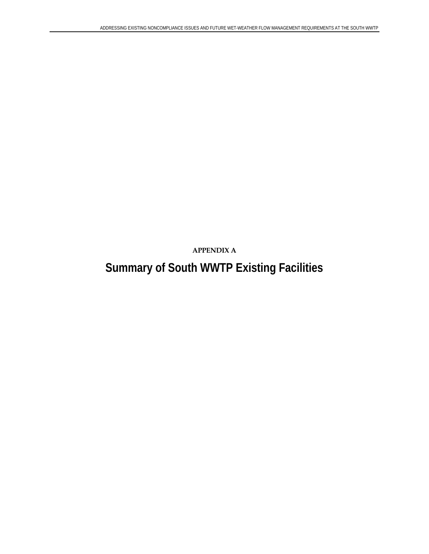**APPENDIX A** 

# **Summary of South WWTP Existing Facilities**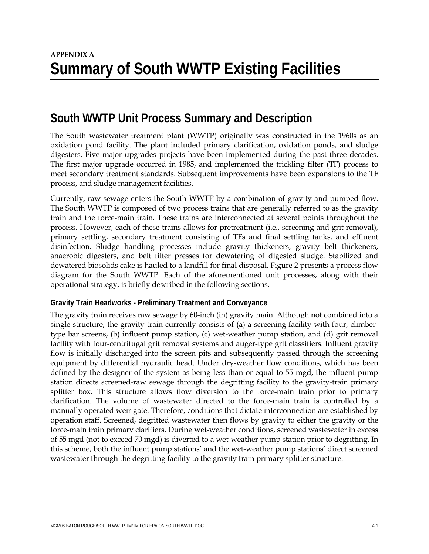# **South WWTP Unit Process Summary and Description**

The South wastewater treatment plant (WWTP) originally was constructed in the 1960s as an oxidation pond facility. The plant included primary clarification, oxidation ponds, and sludge digesters. Five major upgrades projects have been implemented during the past three decades. The first major upgrade occurred in 1985, and implemented the trickling filter (TF) process to meet secondary treatment standards. Subsequent improvements have been expansions to the TF process, and sludge management facilities.

Currently, raw sewage enters the South WWTP by a combination of gravity and pumped flow. The South WWTP is composed of two process trains that are generally referred to as the gravity train and the force-main train. These trains are interconnected at several points throughout the process. However, each of these trains allows for pretreatment (i.e., screening and grit removal), primary settling, secondary treatment consisting of TFs and final settling tanks, and effluent disinfection. Sludge handling processes include gravity thickeners, gravity belt thickeners, anaerobic digesters, and belt filter presses for dewatering of digested sludge. Stabilized and dewatered biosolids cake is hauled to a landfill for final disposal. Figure 2 presents a process flow diagram for the South WWTP. Each of the aforementioned unit processes, along with their operational strategy, is briefly described in the following sections.

#### **Gravity Train Headworks - Preliminary Treatment and Conveyance**

The gravity train receives raw sewage by 60-inch (in) gravity main. Although not combined into a single structure, the gravity train currently consists of (a) a screening facility with four, climbertype bar screens, (b) influent pump station, (c) wet-weather pump station, and (d) grit removal facility with four-centrifugal grit removal systems and auger-type grit classifiers. Influent gravity flow is initially discharged into the screen pits and subsequently passed through the screening equipment by differential hydraulic head. Under dry-weather flow conditions, which has been defined by the designer of the system as being less than or equal to 55 mgd, the influent pump station directs screened-raw sewage through the degritting facility to the gravity-train primary splitter box. This structure allows flow diversion to the force-main train prior to primary clarification. The volume of wastewater directed to the force-main train is controlled by a manually operated weir gate. Therefore, conditions that dictate interconnection are established by operation staff. Screened, degritted wastewater then flows by gravity to either the gravity or the force-main train primary clarifiers. During wet-weather conditions, screened wastewater in excess of 55 mgd (not to exceed 70 mgd) is diverted to a wet-weather pump station prior to degritting. In this scheme, both the influent pump stations' and the wet-weather pump stations' direct screened wastewater through the degritting facility to the gravity train primary splitter structure.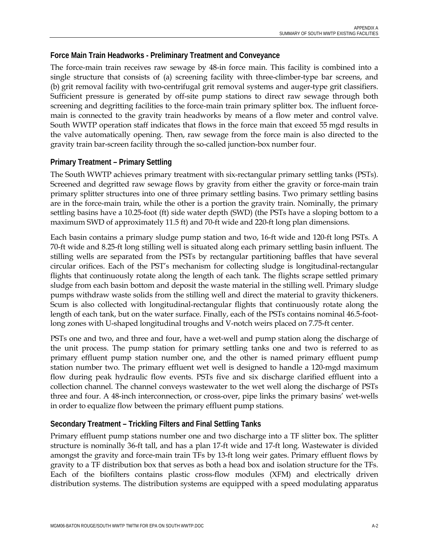#### **Force Main Train Headworks - Preliminary Treatment and Conveyance**

The force-main train receives raw sewage by 48-in force main. This facility is combined into a single structure that consists of (a) screening facility with three-climber-type bar screens, and (b) grit removal facility with two-centrifugal grit removal systems and auger-type grit classifiers. Sufficient pressure is generated by off-site pump stations to direct raw sewage through both screening and degritting facilities to the force-main train primary splitter box. The influent forcemain is connected to the gravity train headworks by means of a flow meter and control valve. South WWTP operation staff indicates that flows in the force main that exceed 55 mgd results in the valve automatically opening. Then, raw sewage from the force main is also directed to the gravity train bar-screen facility through the so-called junction-box number four.

#### **Primary Treatment – Primary Settling**

The South WWTP achieves primary treatment with six-rectangular primary settling tanks (PSTs). Screened and degritted raw sewage flows by gravity from either the gravity or force-main train primary splitter structures into one of three primary settling basins. Two primary settling basins are in the force-main train, while the other is a portion the gravity train. Nominally, the primary settling basins have a 10.25-foot (ft) side water depth (SWD) (the PSTs have a sloping bottom to a maximum SWD of approximately 11.5 ft) and 70-ft wide and 220-ft long plan dimensions.

Each basin contains a primary sludge pump station and two, 16-ft wide and 120-ft long PSTs. A 70-ft wide and 8.25-ft long stilling well is situated along each primary settling basin influent. The stilling wells are separated from the PSTs by rectangular partitioning baffles that have several circular orifices. Each of the PST's mechanism for collecting sludge is longitudinal-rectangular flights that continuously rotate along the length of each tank. The flights scrape settled primary sludge from each basin bottom and deposit the waste material in the stilling well. Primary sludge pumps withdraw waste solids from the stilling well and direct the material to gravity thickeners. Scum is also collected with longitudinal-rectangular flights that continuously rotate along the length of each tank, but on the water surface. Finally, each of the PSTs contains nominal 46.5-footlong zones with U-shaped longitudinal troughs and V-notch weirs placed on 7.75-ft center.

PSTs one and two, and three and four, have a wet-well and pump station along the discharge of the unit process. The pump station for primary settling tanks one and two is referred to as primary effluent pump station number one, and the other is named primary effluent pump station number two. The primary effluent wet well is designed to handle a 120-mgd maximum flow during peak hydraulic flow events. PSTs five and six discharge clarified effluent into a collection channel. The channel conveys wastewater to the wet well along the discharge of PSTs three and four. A 48-inch interconnection, or cross-over, pipe links the primary basins' wet-wells in order to equalize flow between the primary effluent pump stations.

#### **Secondary Treatment – Trickling Filters and Final Settling Tanks**

Primary effluent pump stations number one and two discharge into a TF slitter box. The splitter structure is nominally 36-ft tall, and has a plan 17-ft wide and 17-ft long. Wastewater is divided amongst the gravity and force-main train TFs by 13-ft long weir gates. Primary effluent flows by gravity to a TF distribution box that serves as both a head box and isolation structure for the TFs. Each of the biofilters contains plastic cross-flow modules (XFM) and electrically driven distribution systems. The distribution systems are equipped with a speed modulating apparatus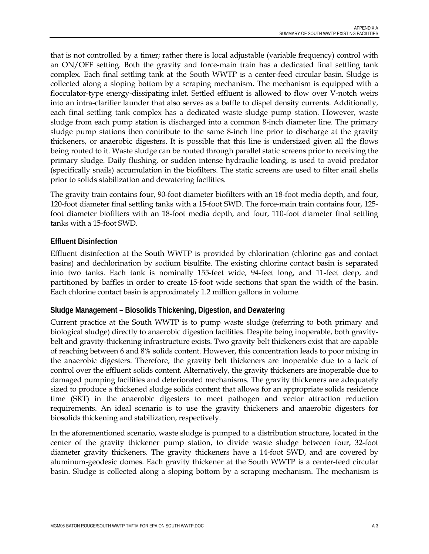that is not controlled by a timer; rather there is local adjustable (variable frequency) control with an ON/OFF setting. Both the gravity and force-main train has a dedicated final settling tank complex. Each final settling tank at the South WWTP is a center-feed circular basin. Sludge is collected along a sloping bottom by a scraping mechanism. The mechanism is equipped with a flocculator-type energy-dissipating inlet. Settled effluent is allowed to flow over V-notch weirs into an intra-clarifier launder that also serves as a baffle to dispel density currents. Additionally, each final settling tank complex has a dedicated waste sludge pump station. However, waste sludge from each pump station is discharged into a common 8-inch diameter line. The primary sludge pump stations then contribute to the same 8-inch line prior to discharge at the gravity thickeners, or anaerobic digesters. It is possible that this line is undersized given all the flows being routed to it. Waste sludge can be routed through parallel static screens prior to receiving the primary sludge. Daily flushing, or sudden intense hydraulic loading, is used to avoid predator (specifically snails) accumulation in the biofilters. The static screens are used to filter snail shells prior to solids stabilization and dewatering facilities.

The gravity train contains four, 90-foot diameter biofilters with an 18-foot media depth, and four, 120-foot diameter final settling tanks with a 15-foot SWD. The force-main train contains four, 125 foot diameter biofilters with an 18-foot media depth, and four, 110-foot diameter final settling tanks with a 15-foot SWD.

#### **Effluent Disinfection**

Effluent disinfection at the South WWTP is provided by chlorination (chlorine gas and contact basins) and dechlorination by sodium bisulfite. The existing chlorine contact basin is separated into two tanks. Each tank is nominally 155-feet wide, 94-feet long, and 11-feet deep, and partitioned by baffles in order to create 15-foot wide sections that span the width of the basin. Each chlorine contact basin is approximately 1.2 million gallons in volume.

#### **Sludge Management – Biosolids Thickening, Digestion, and Dewatering**

Current practice at the South WWTP is to pump waste sludge (referring to both primary and biological sludge) directly to anaerobic digestion facilities. Despite being inoperable, both gravitybelt and gravity-thickening infrastructure exists. Two gravity belt thickeners exist that are capable of reaching between 6 and 8% solids content. However, this concentration leads to poor mixing in the anaerobic digesters. Therefore, the gravity belt thickeners are inoperable due to a lack of control over the effluent solids content. Alternatively, the gravity thickeners are inoperable due to damaged pumping facilities and deteriorated mechanisms. The gravity thickeners are adequately sized to produce a thickened sludge solids content that allows for an appropriate solids residence time (SRT) in the anaerobic digesters to meet pathogen and vector attraction reduction requirements. An ideal scenario is to use the gravity thickeners and anaerobic digesters for biosolids thickening and stabilization, respectively.

In the aforementioned scenario, waste sludge is pumped to a distribution structure, located in the center of the gravity thickener pump station, to divide waste sludge between four, 32-foot diameter gravity thickeners. The gravity thickeners have a 14-foot SWD, and are covered by aluminum-geodesic domes. Each gravity thickener at the South WWTP is a center-feed circular basin. Sludge is collected along a sloping bottom by a scraping mechanism. The mechanism is